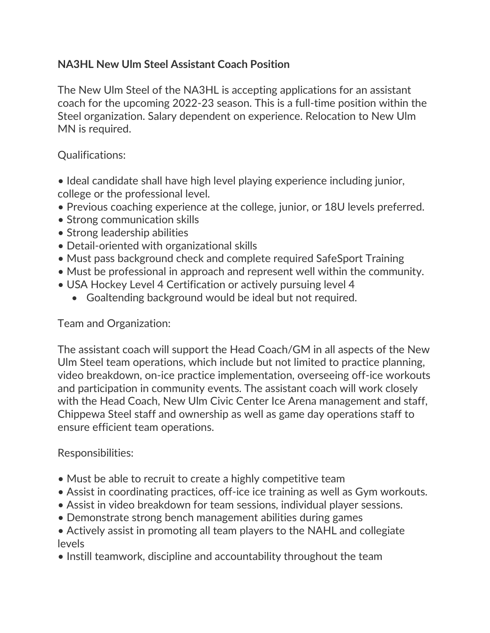## **NA3HL New Ulm Steel Assistant Coach Position**

The New Ulm Steel of the NA3HL is accepting applications for an assistant coach for the upcoming 2022-23 season. This is a full-time position within the Steel organization. Salary dependent on experience. Relocation to New Ulm MN is required.

## Qualifications:

- Ideal candidate shall have high level playing experience including junior, college or the professional level.
- Previous coaching experience at the college, junior, or 18U levels preferred.
- Strong communication skills
- Strong leadership abilities
- Detail-oriented with organizational skills
- Must pass background check and complete required SafeSport Training
- Must be professional in approach and represent well within the community.
- USA Hockey Level 4 Certification or actively pursuing level 4
	- Goaltending background would be ideal but not required.

## Team and Organization:

The assistant coach will support the Head Coach/GM in all aspects of the New Ulm Steel team operations, which include but not limited to practice planning, video breakdown, on-ice practice implementation, overseeing off-ice workouts and participation in community events. The assistant coach will work closely with the Head Coach, New Ulm Civic Center Ice Arena management and staff, Chippewa Steel staff and ownership as well as game day operations staff to ensure efficient team operations.

## Responsibilities:

- Must be able to recruit to create a highly competitive team
- Assist in coordinating practices, off-ice ice training as well as Gym workouts.
- Assist in video breakdown for team sessions, individual player sessions.
- Demonstrate strong bench management abilities during games
- Actively assist in promoting all team players to the NAHL and collegiate levels
- Instill teamwork, discipline and accountability throughout the team